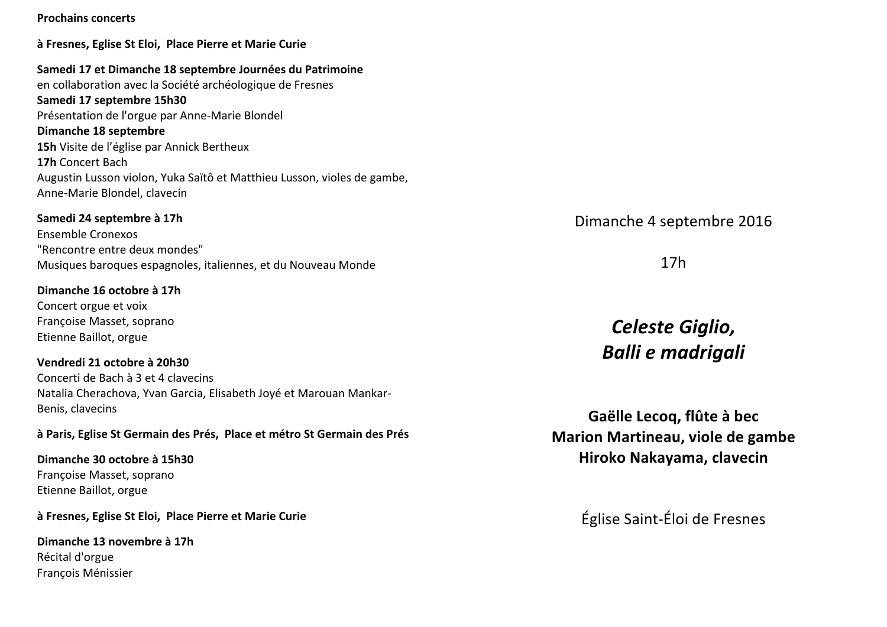## à Fresnes, Eglise St Eloi, Place Pierre et Marie Curie Samedi 17 et Dimanche 18 septembre Journées du Patrimoine en collaboration avec la Société archéologique de Fresnes Samedi 17 septembre 15h30 Présentation de l'orgue par Anne-Marie Blondel Dimanche 18 septembre

15h Visite de l'église par Annick Bertheux 17h Concert Bach Augustin Lusson violon, Yuka Saïtô et Matthieu Lusson, violes de gambe, Anne-Marie Blondel, clavecin

#### Samedi 24 septembre à 17h

**Prochains concerts** 

Ensemble Cronexos "Rencontre entre deux mondes" Musiques baroques espagnoles, italiennes, et du Nouveau Monde

#### Dimanche 16 octobre à 17h Concert orgue et voix Françoise Masset, soprano Etienne Baillot, orgue

Vendredi 21 octobre à 20h30 Concerti de Bach à 3 et 4 clavecins Natalia Cherachova, Yvan Garcia, Elisabeth Joyé et Marouan Mankar-Benis, clavecins

#### à Paris, Eglise St Germain des Prés, Place et métro St Germain des Prés

Dimanche 30 octobre à 15h30 Francoise Masset, soprano Etienne Baillot, orgue

#### à Fresnes, Eglise St Eloi, Place Pierre et Marie Curie

Dimanche 13 novembre à 17h Récital d'orgue François Ménissier

Dimanche 4 septembre 2016

 $17h$ 

# Celeste Giglio, **Balli e madrigali**

Gaëlle Lecog. flûte à bec Marion Martineau, viole de gambe Hiroko Nakayama, clavecin

Église Saint-Éloi de Fresnes